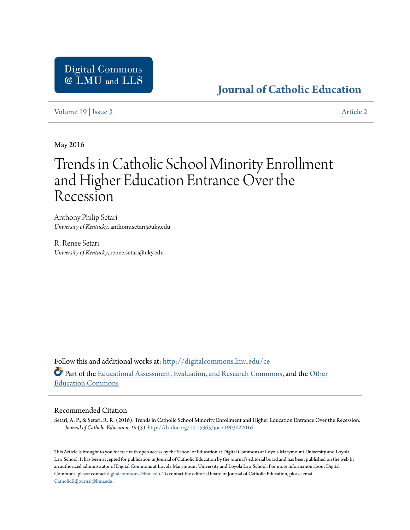## **[Journal of Catholic Education](http://digitalcommons.lmu.edu/ce?utm_source=digitalcommons.lmu.edu%2Fce%2Fvol19%2Fiss3%2F2&utm_medium=PDF&utm_campaign=PDFCoverPages)**

[Volume 19](http://digitalcommons.lmu.edu/ce/vol19?utm_source=digitalcommons.lmu.edu%2Fce%2Fvol19%2Fiss3%2F2&utm_medium=PDF&utm_campaign=PDFCoverPages) | [Issue 3](http://digitalcommons.lmu.edu/ce/vol19/iss3?utm_source=digitalcommons.lmu.edu%2Fce%2Fvol19%2Fiss3%2F2&utm_medium=PDF&utm_campaign=PDFCoverPages) [Article 2](http://digitalcommons.lmu.edu/ce/vol19/iss3/2?utm_source=digitalcommons.lmu.edu%2Fce%2Fvol19%2Fiss3%2F2&utm_medium=PDF&utm_campaign=PDFCoverPages)

May 2016

# Trends in Catholic School Minority Enrollment and Higher Education Entrance Over the Recession

Anthony Philip Setari *University of Kentucky*, anthony.setari@uky.edu

R. Renee Setari *University of Kentucky*, renee.setari@uky.edu

Follow this and additional works at: [http://digitalcommons.lmu.edu/ce](http://digitalcommons.lmu.edu/ce?utm_source=digitalcommons.lmu.edu%2Fce%2Fvol19%2Fiss3%2F2&utm_medium=PDF&utm_campaign=PDFCoverPages) Part of the [Educational Assessment, Evaluation, and Research Commons,](http://network.bepress.com/hgg/discipline/796?utm_source=digitalcommons.lmu.edu%2Fce%2Fvol19%2Fiss3%2F2&utm_medium=PDF&utm_campaign=PDFCoverPages) and the [Other](http://network.bepress.com/hgg/discipline/811?utm_source=digitalcommons.lmu.edu%2Fce%2Fvol19%2Fiss3%2F2&utm_medium=PDF&utm_campaign=PDFCoverPages) [Education Commons](http://network.bepress.com/hgg/discipline/811?utm_source=digitalcommons.lmu.edu%2Fce%2Fvol19%2Fiss3%2F2&utm_medium=PDF&utm_campaign=PDFCoverPages)

#### Recommended Citation

Setari, A. P., & Setari, R. R. (2016). Trends in Catholic School Minority Enrollment and Higher Education Entrance Over the Recession. *Journal of Catholic Education, 19* (3). <http://dx.doi.org/10.15365/joce.1903022016>

This Article is brought to you for free with open access by the School of Education at Digital Commons at Loyola Marymount University and Loyola Law School. It has been accepted for publication in Journal of Catholic Education by the journal's editorial board and has been published on the web by an authorized administrator of Digital Commons at Loyola Marymount University and Loyola Law School. For more information about Digital Commons, please contact [digitalcommons@lmu.edu](mailto:digitalcommons@lmu.edu). To contact the editorial board of Journal of Catholic Education, please email [CatholicEdJournal@lmu.edu.](mailto:CatholicEdJournal@lmu.edu)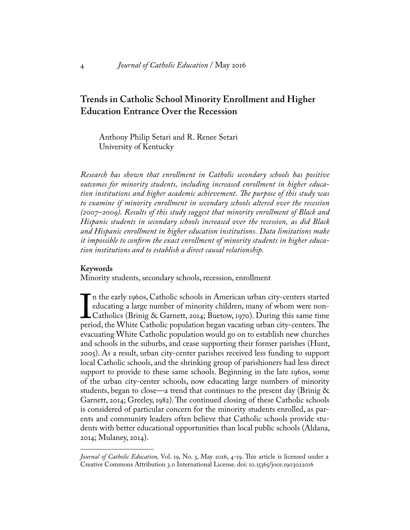### **Trends in Catholic School Minority Enrollment and Higher Education Entrance Over the Recession**

Anthony Philip Setari and R. Renee Setari University of Kentucky

*Research has shown that enrollment in Catholic secondary schools has positive outcomes for minority students, including increased enrollment in higher education institutions and higher academic achievement. The purpose of this study was to examine if minority enrollment in secondary schools altered over the recession (2007–2009). Results of this study suggest that minority enrollment of Black and Hispanic students in secondary schools increased over the recession, as did Black and Hispanic enrollment in higher education institutions. Data limitations make it impossible to confirm the exact enrollment of minority students in higher education institutions and to establish a direct causal relationship.*

#### **Keywords**

Minority students, secondary schools, recession, enrollment

 $\prod_{\text{peri}}$ n the early 1960s, Catholic schools in American urban city-centers started educating a large number of minority children, many of whom were non-Catholics (Brinig & Garnett, 2014; Buetow, 1970). During this same time period, the White Catholic population began vacating urban city-centers. The evacuating White Catholic population would go on to establish new churches and schools in the suburbs, and cease supporting their former parishes (Hunt, 2005). As a result, urban city-center parishes received less funding to support local Catholic schools, and the shrinking group of parishioners had less direct support to provide to these same schools. Beginning in the late 1960s, some of the urban city-center schools, now educating large numbers of minority students, began to close—a trend that continues to the present day (Brinig  $\&$ Garnett, 2014; Greeley, 1982). The continued closing of these Catholic schools is considered of particular concern for the minority students enrolled, as parents and community leaders often believe that Catholic schools provide students with better educational opportunities than local public schools (Aldana, 2014; Mulaney, 2014).

*Journal of Catholic Education,* Vol. 19, No. 3, May 2016, 4-19. This article is licensed under a Creative Commons Attribution 3.0 International License. doi: 10.15365/joce.1903022016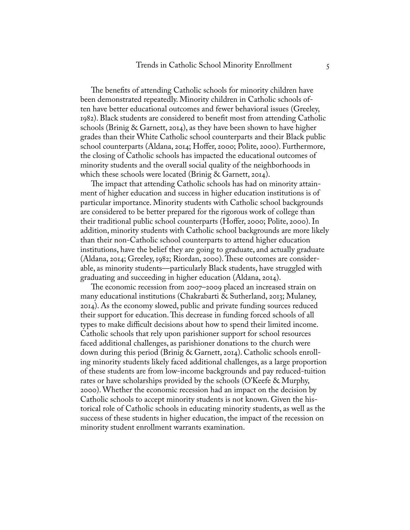The benefits of attending Catholic schools for minority children have been demonstrated repeatedly. Minority children in Catholic schools often have better educational outcomes and fewer behavioral issues (Greeley, 1982). Black students are considered to benefit most from attending Catholic schools (Brinig & Garnett, 2014), as they have been shown to have higher grades than their White Catholic school counterparts and their Black public school counterparts (Aldana, 2014; Hoffer, 2000; Polite, 2000). Furthermore, the closing of Catholic schools has impacted the educational outcomes of minority students and the overall social quality of the neighborhoods in which these schools were located (Brinig & Garnett, 2014).

The impact that attending Catholic schools has had on minority attainment of higher education and success in higher education institutions is of particular importance. Minority students with Catholic school backgrounds are considered to be better prepared for the rigorous work of college than their traditional public school counterparts (Hoffer, 2000; Polite, 2000). In addition, minority students with Catholic school backgrounds are more likely than their non-Catholic school counterparts to attend higher education institutions, have the belief they are going to graduate, and actually graduate (Aldana, 2014; Greeley, 1982; Riordan, 2000). These outcomes are considerable, as minority students—particularly Black students, have struggled with graduating and succeeding in higher education (Aldana, 2014).

The economic recession from 2007–2009 placed an increased strain on many educational institutions (Chakrabarti & Sutherland, 2013; Mulaney, 2014). As the economy slowed, public and private funding sources reduced their support for education. This decrease in funding forced schools of all types to make difficult decisions about how to spend their limited income. Catholic schools that rely upon parishioner support for school resources faced additional challenges, as parishioner donations to the church were down during this period (Brinig & Garnett, 2014). Catholic schools enrolling minority students likely faced additional challenges, as a large proportion of these students are from low-income backgrounds and pay reduced-tuition rates or have scholarships provided by the schools (O'Keefe & Murphy, 2000). Whether the economic recession had an impact on the decision by Catholic schools to accept minority students is not known. Given the historical role of Catholic schools in educating minority students, as well as the success of these students in higher education, the impact of the recession on minority student enrollment warrants examination.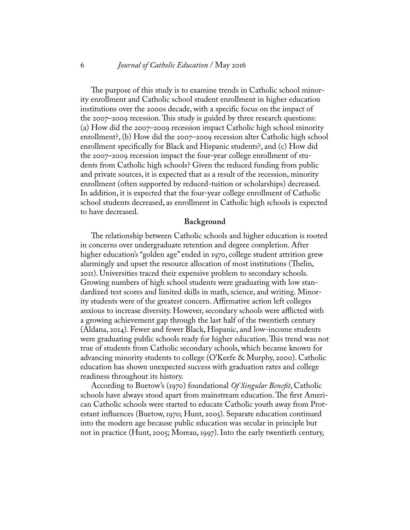#### 6 *Journal of Catholic Education* / May 2016

The purpose of this study is to examine trends in Catholic school minority enrollment and Catholic school student enrollment in higher education institutions over the 2000s decade, with a specific focus on the impact of the 2007–2009 recession. This study is guided by three research questions: (a) How did the 2007–2009 recession impact Catholic high school minority enrollment?, (b) How did the 2007–2009 recession alter Catholic high school enrollment specifically for Black and Hispanic students?, and (c) How did the 2007–2009 recession impact the four-year college enrollment of students from Catholic high schools? Given the reduced funding from public and private sources, it is expected that as a result of the recession, minority enrollment (often supported by reduced-tuition or scholarships) decreased. In addition, it is expected that the four-year college enrollment of Catholic school students decreased, as enrollment in Catholic high schools is expected to have decreased.

#### **Background**

The relationship between Catholic schools and higher education is rooted in concerns over undergraduate retention and degree completion. After higher education's "golden age" ended in 1970, college student attrition grew alarmingly and upset the resource allocation of most institutions (Thelin, 2011). Universities traced their expensive problem to secondary schools. Growing numbers of high school students were graduating with low standardized test scores and limited skills in math, science, and writing. Minority students were of the greatest concern. Affirmative action left colleges anxious to increase diversity. However, secondary schools were afflicted with a growing achievement gap through the last half of the twentieth century (Aldana, 2014). Fewer and fewer Black, Hispanic, and low-income students were graduating public schools ready for higher education. This trend was not true of students from Catholic secondary schools, which became known for advancing minority students to college (O'Keefe & Murphy, 2000). Catholic education has shown unexpected success with graduation rates and college readiness throughout its history.

According to Buetow's (1970) foundational *Of Singular Benefit*, Catholic schools have always stood apart from mainstream education. The first American Catholic schools were started to educate Catholic youth away from Protestant influences (Buetow, 1970; Hunt, 2005). Separate education continued into the modern age because public education was secular in principle but not in practice (Hunt, 2005; Moreau, 1997). Into the early twentieth century,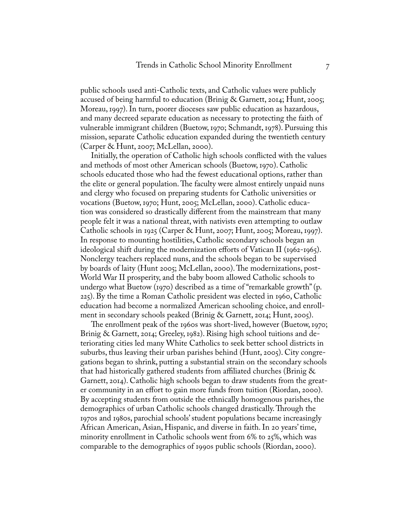public schools used anti-Catholic texts, and Catholic values were publicly accused of being harmful to education (Brinig & Garnett, 2014; Hunt, 2005; Moreau, 1997). In turn, poorer dioceses saw public education as hazardous, and many decreed separate education as necessary to protecting the faith of vulnerable immigrant children (Buetow, 1970; Schmandt, 1978). Pursuing this mission, separate Catholic education expanded during the twentieth century (Carper & Hunt, 2007; McLellan, 2000).

Initially, the operation of Catholic high schools conflicted with the values and methods of most other American schools (Buetow, 1970). Catholic schools educated those who had the fewest educational options, rather than the elite or general population. The faculty were almost entirely unpaid nuns and clergy who focused on preparing students for Catholic universities or vocations (Buetow, 1970; Hunt, 2005; McLellan, 2000). Catholic education was considered so drastically different from the mainstream that many people felt it was a national threat, with nativists even attempting to outlaw Catholic schools in 1925 (Carper & Hunt, 2007; Hunt, 2005; Moreau, 1997). In response to mounting hostilities, Catholic secondary schools began an ideological shift during the modernization efforts of Vatican II (1962-1965). Nonclergy teachers replaced nuns, and the schools began to be supervised by boards of laity (Hunt 2005; McLellan, 2000). The modernizations, post-World War II prosperity, and the baby boom allowed Catholic schools to undergo what Buetow (1970) described as a time of "remarkable growth" (p. 225). By the time a Roman Catholic president was elected in 1960, Catholic education had become a normalized American schooling choice, and enrollment in secondary schools peaked (Brinig & Garnett, 2014; Hunt, 2005).

The enrollment peak of the 1960s was short-lived, however (Buetow, 1970; Brinig & Garnett, 2014; Greeley, 1982). Rising high school tuitions and deteriorating cities led many White Catholics to seek better school districts in suburbs, thus leaving their urban parishes behind (Hunt, 2005). City congregations began to shrink, putting a substantial strain on the secondary schools that had historically gathered students from affiliated churches (Brinig & Garnett, 2014). Catholic high schools began to draw students from the greater community in an effort to gain more funds from tuition (Riordan, 2000). By accepting students from outside the ethnically homogenous parishes, the demographics of urban Catholic schools changed drastically. Through the 1970s and 1980s, parochial schools' student populations became increasingly African American, Asian, Hispanic, and diverse in faith. In 20 years' time, minority enrollment in Catholic schools went from 6% to 25%, which was comparable to the demographics of 1990s public schools (Riordan, 2000).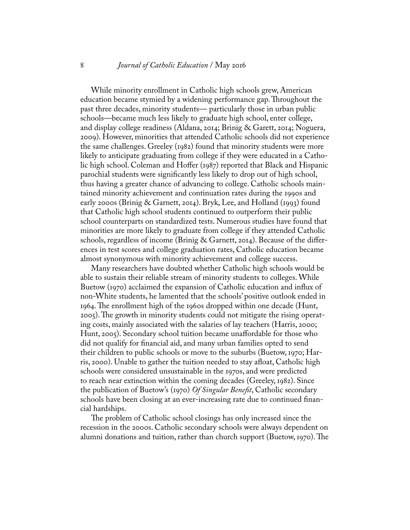#### 8 *Journal of Catholic Education* / May 2016

While minority enrollment in Catholic high schools grew, American education became stymied by a widening performance gap. Throughout the past three decades, minority students— particularly those in urban public schools—became much less likely to graduate high school, enter college, and display college readiness (Aldana, 2014; Brinig & Garett, 2014; Noguera, 2009). However, minorities that attended Catholic schools did not experience the same challenges. Greeley (1982) found that minority students were more likely to anticipate graduating from college if they were educated in a Catholic high school. Coleman and Hoffer (1987) reported that Black and Hispanic parochial students were significantly less likely to drop out of high school, thus having a greater chance of advancing to college. Catholic schools maintained minority achievement and continuation rates during the 1990s and early 2000s (Brinig & Garnett, 2014). Bryk, Lee, and Holland (1993) found that Catholic high school students continued to outperform their public school counterparts on standardized tests. Numerous studies have found that minorities are more likely to graduate from college if they attended Catholic schools, regardless of income (Brinig & Garnett, 2014). Because of the differences in test scores and college graduation rates, Catholic education became almost synonymous with minority achievement and college success.

Many researchers have doubted whether Catholic high schools would be able to sustain their reliable stream of minority students to colleges. While Buetow (1970) acclaimed the expansion of Catholic education and influx of non-White students, he lamented that the schools' positive outlook ended in 1964. The enrollment high of the 1960s dropped within one decade (Hunt, 2005). The growth in minority students could not mitigate the rising operating costs, mainly associated with the salaries of lay teachers (Harris, 2000; Hunt, 2005). Secondary school tuition became unaffordable for those who did not qualify for financial aid, and many urban families opted to send their children to public schools or move to the suburbs (Buetow, 1970; Harris, 2000). Unable to gather the tuition needed to stay afloat, Catholic high schools were considered unsustainable in the 1970s, and were predicted to reach near extinction within the coming decades (Greeley, 1982). Since the publication of Buetow's (1970) *Of Singular Benefit*, Catholic secondary schools have been closing at an ever-increasing rate due to continued financial hardships.

The problem of Catholic school closings has only increased since the recession in the 2000s. Catholic secondary schools were always dependent on alumni donations and tuition, rather than church support (Buetow, 1970). The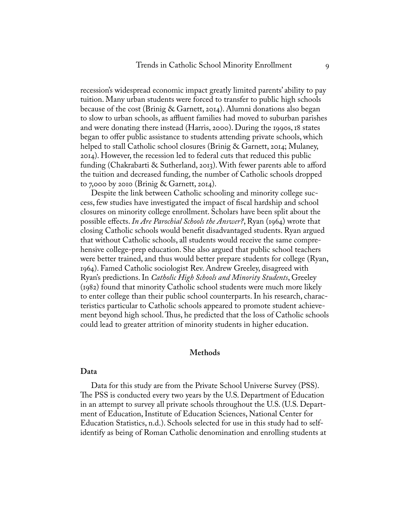recession's widespread economic impact greatly limited parents' ability to pay tuition. Many urban students were forced to transfer to public high schools because of the cost (Brinig & Garnett, 2014). Alumni donations also began to slow to urban schools, as affluent families had moved to suburban parishes and were donating there instead (Harris, 2000). During the 1990s, 18 states began to offer public assistance to students attending private schools, which helped to stall Catholic school closures (Brinig & Garnett, 2014; Mulaney, 2014). However, the recession led to federal cuts that reduced this public funding (Chakrabarti & Sutherland, 2013). With fewer parents able to afford the tuition and decreased funding, the number of Catholic schools dropped to 7,000 by 2010 (Brinig & Garnett, 2014).

Despite the link between Catholic schooling and minority college success, few studies have investigated the impact of fiscal hardship and school closures on minority college enrollment. Scholars have been split about the possible effects. *In Are Parochial Schools the Answer?*, Ryan (1964) wrote that closing Catholic schools would benefit disadvantaged students. Ryan argued that without Catholic schools, all students would receive the same comprehensive college-prep education. She also argued that public school teachers were better trained, and thus would better prepare students for college (Ryan, 1964). Famed Catholic sociologist Rev. Andrew Greeley, disagreed with Ryan's predictions. In *Catholic High Schools and Minority Students*, Greeley (1982) found that minority Catholic school students were much more likely to enter college than their public school counterparts. In his research, characteristics particular to Catholic schools appeared to promote student achievement beyond high school. Thus, he predicted that the loss of Catholic schools could lead to greater attrition of minority students in higher education.

#### **Methods**

#### **Data**

Data for this study are from the Private School Universe Survey (PSS). The PSS is conducted every two years by the U.S. Department of Education in an attempt to survey all private schools throughout the U.S. (U.S. Department of Education, Institute of Education Sciences, National Center for Education Statistics, n.d.). Schools selected for use in this study had to selfidentify as being of Roman Catholic denomination and enrolling students at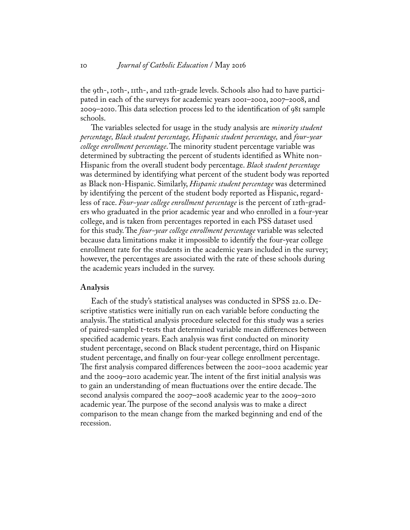the 9th-, 10th-, 11th-, and 12th-grade levels. Schools also had to have participated in each of the surveys for academic years 2001–2002, 2007–2008, and 2009–2010. This data selection process led to the identification of 981 sample schools.

The variables selected for usage in the study analysis are *minority student percentage, Black student percentage, Hispanic student percentage,* and *four-year college enrollment percentage*. The minority student percentage variable was determined by subtracting the percent of students identified as White non-Hispanic from the overall student body percentage. *Black student percentage*  was determined by identifying what percent of the student body was reported as Black non-Hispanic. Similarly, *Hispanic student percentage* was determined by identifying the percent of the student body reported as Hispanic, regardless of race. *Four-year college enrollment percentage* is the percent of 12th-graders who graduated in the prior academic year and who enrolled in a four-year college, and is taken from percentages reported in each PSS dataset used for this study. The *four-year college enrollment percentage* variable was selected because data limitations make it impossible to identify the four-year college enrollment rate for the students in the academic years included in the survey; however, the percentages are associated with the rate of these schools during the academic years included in the survey.

#### **Analysis**

Each of the study's statistical analyses was conducted in SPSS 22.0. Descriptive statistics were initially run on each variable before conducting the analysis. The statistical analysis procedure selected for this study was a series of paired-sampled t-tests that determined variable mean differences between specified academic years. Each analysis was first conducted on minority student percentage, second on Black student percentage, third on Hispanic student percentage, and finally on four-year college enrollment percentage. The first analysis compared differences between the 2001–2002 academic year and the 2009–2010 academic year. The intent of the first initial analysis was to gain an understanding of mean fluctuations over the entire decade. The second analysis compared the 2007–2008 academic year to the 2009–2010 academic year. The purpose of the second analysis was to make a direct comparison to the mean change from the marked beginning and end of the recession.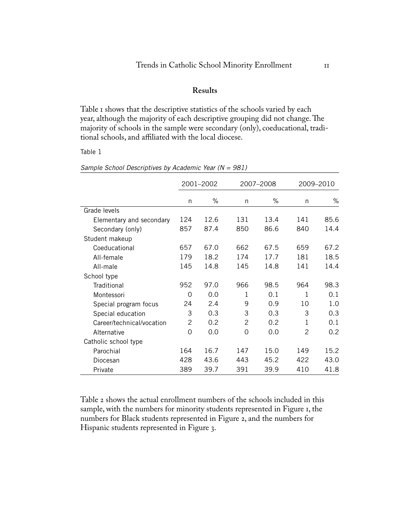#### **Results**

Table 1 shows that the descriptive statistics of the schools varied by each year, although the majority of each descriptive grouping did not change. The majority of schools in the sample were secondary (only), coeducational, traditional schools, and affiliated with the local diocese.

Table 1

|                           | 2001-2002<br>2007-2008 |      | 2009-2010     |      |               |      |
|---------------------------|------------------------|------|---------------|------|---------------|------|
|                           | n                      | %    | n             | %    | n             | %    |
| Grade levels              |                        |      |               |      |               |      |
| Elementary and secondary  | 124                    | 12.6 | 131           | 13.4 | 141           | 85.6 |
| Secondary (only)          | 857                    | 87.4 | 850           | 86.6 | 840           | 14.4 |
| Student makeup            |                        |      |               |      |               |      |
| Coeducational             | 657                    | 67.0 | 662           | 67.5 | 659           | 67.2 |
| All-female                | 179                    | 18.2 | 174           | 17.7 | 181           | 18.5 |
| All-male                  | 145                    | 14.8 | 145           | 14.8 | 141           | 14.4 |
| School type               |                        |      |               |      |               |      |
| Traditional               | 952                    | 97.0 | 966           | 98.5 | 964           | 98.3 |
| Montessori                | $\Omega$               | 0.0  | 1             | 0.1  | 1             | 0.1  |
| Special program focus     | 24                     | 2.4  | 9             | 0.9  | 10            | 1.0  |
| Special education         | 3                      | 0.3  | 3             | 0.3  | 3             | 0.3  |
| Career/technical/vocation | $\mathcal{P}$          | 0.2  | $\mathcal{P}$ | 0.2  | 1             | 0.1  |
| Alternative               | $\Omega$               | 0.0  | $\Omega$      | 0.0  | $\mathcal{P}$ | 0.2  |
| Catholic school type      |                        |      |               |      |               |      |
| Parochial                 | 164                    | 16.7 | 147           | 15.0 | 149           | 15.2 |
| Diocesan                  | 428                    | 43.6 | 443           | 45.2 | 422           | 43.0 |
| Private                   | 389                    | 39.7 | 391           | 39.9 | 410           | 41.8 |

*Sample School Descriptives by Academic Year (N = 981)*

Table 2 shows the actual enrollment numbers of the schools included in this sample, with the numbers for minority students represented in Figure 1, the numbers for Black students represented in Figure 2, and the numbers for Hispanic students represented in Figure 3.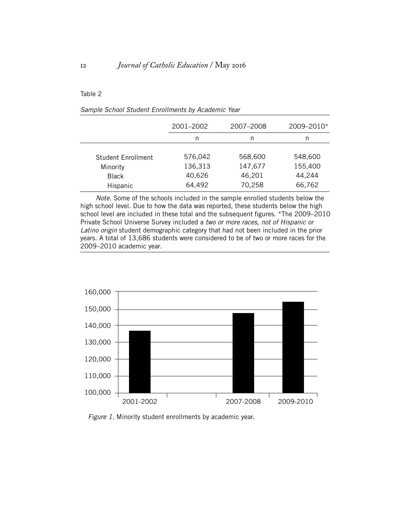#### Table 2

| Sample School Student Enrollments by Academic Year |  |  |  |  |  |  |  |  |  |
|----------------------------------------------------|--|--|--|--|--|--|--|--|--|
|----------------------------------------------------|--|--|--|--|--|--|--|--|--|

|                    | 2001-2002 | 2007-2008 | 2009-2010* |
|--------------------|-----------|-----------|------------|
|                    | n         | n         | n          |
|                    |           |           |            |
| Student Enrollment | 576,042   | 568,600   | 548,600    |
| Minority           | 136,313   | 147,677   | 155,400    |
| <b>Black</b>       | 40,626    | 46,201    | 44,244     |
| Hispanic           | 64,492    | 70,258    | 66,762     |

*Note.* Some of the schools included in the sample enrolled students below the high school level. Due to how the data was reported, these students below the high school level are included in these total and the subsequent figures. \*The 2009–2010 Private School Universe Survey included a *two or more races, not of Hispanic or Latino origin* student demographic category that had not been included in the prior years. A total of 13,686 students were considered to be of two or more races for the 2009–2010 academic year.



*Figure 1.* Minority student enrollments by academic year.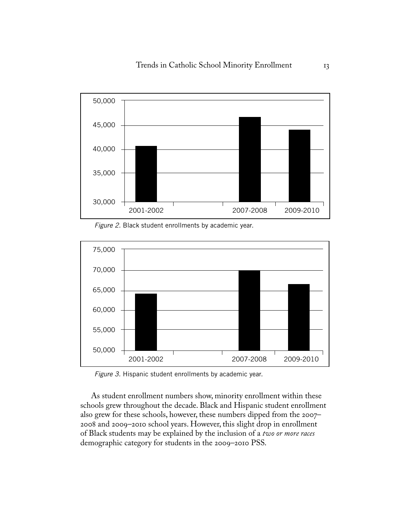

*Figure 2.* Black student enrollments by academic year.



*Figure 3.* Hispanic student enrollments by academic year.

As student enrollment numbers show, minority enrollment within these schools grew throughout the decade. Black and Hispanic student enrollment also grew for these schools, however, these numbers dipped from the 2007– 2008 and 2009–2010 school years. However, this slight drop in enrollment of Black students may be explained by the inclusion of a *two or more races* demographic category for students in the 2009–2010 PSS.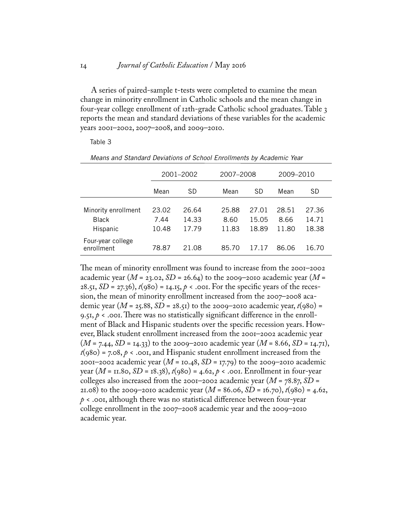A series of paired-sample t-tests were completed to examine the mean change in minority enrollment in Catholic schools and the mean change in four-year college enrollment of 12th-grade Catholic school graduates. Table 3 reports the mean and standard deviations of these variables for the academic years 2001–2002, 2007–2008, and 2009–2010.

#### Table 3

|                                                 | 2001-2002              |                         |                        | 2007-2008               |                        | 2009–2010               |  |
|-------------------------------------------------|------------------------|-------------------------|------------------------|-------------------------|------------------------|-------------------------|--|
|                                                 | Mean                   | SD                      | Mean                   | SD                      | Mean                   | SD                      |  |
| Minority enrollment<br><b>Black</b><br>Hispanic | 23.02<br>7.44<br>10.48 | 26.64<br>14.33<br>17.79 | 25.88<br>8.60<br>11.83 | 27.01<br>15.05<br>18.89 | 28.51<br>8.66<br>11.80 | 27.36<br>14.71<br>18.38 |  |
| Four-year college<br>enrollment                 | 78.87                  | 21 Q8                   | 85.70                  | 1717                    | 86.06                  | 16 70                   |  |

*Means and Standard Deviations of School Enrollments by Academic Year*

The mean of minority enrollment was found to increase from the 2001–2002 academic year ( $M = 23.02$ ,  $SD = 26.64$ ) to the 2009–2010 academic year ( $M =$ 28.51, *SD* = 27.36),  $t(980) = 14.15$ ,  $p \lt .001$ . For the specific years of the recession, the mean of minority enrollment increased from the 2007–2008 academic year (*M* = 25.88, *SD* = 28.51) to the 2009–2010 academic year,  $t(980)$  = 9.51,  $p \lt \text{.001}$ . There was no statistically significant difference in the enrollment of Black and Hispanic students over the specific recession years. However, Black student enrollment increased from the 2001–2002 academic year (*M* = 7.44, *SD* = 14.33) to the 2009–2010 academic year (*M* = 8.66, *SD* = 14.71),  $t(980) = 7.08, p \lt \text{.001},$  and Hispanic student enrollment increased from the 2001–2002 academic year (*M* = 10.48, *SD* = 17.79) to the 2009–2010 academic year (*M* = 11.80, *SD* = 18.38), *t*(980) = 4.62, *p* < .001. Enrollment in four-year colleges also increased from the 2001–2002 academic year (*M* = 78.87, *SD* = 21.08) to the 2009–2010 academic year  $(M = 86.06, SD = 16.70), t(980) = 4.62$ , *p* < .001, although there was no statistical difference between four-year college enrollment in the 2007–2008 academic year and the 2009–2010 academic year.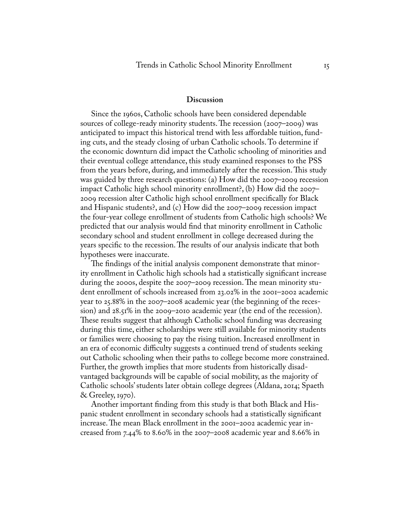#### **Discussion**

Since the 1960s, Catholic schools have been considered dependable sources of college-ready minority students. The recession (2007–2009) was anticipated to impact this historical trend with less affordable tuition, funding cuts, and the steady closing of urban Catholic schools. To determine if the economic downturn did impact the Catholic schooling of minorities and their eventual college attendance, this study examined responses to the PSS from the years before, during, and immediately after the recession. This study was guided by three research questions: (a) How did the 2007–2009 recession impact Catholic high school minority enrollment?, (b) How did the 2007– 2009 recession alter Catholic high school enrollment specifically for Black and Hispanic students?, and (c) How did the 2007–2009 recession impact the four-year college enrollment of students from Catholic high schools? We predicted that our analysis would find that minority enrollment in Catholic secondary school and student enrollment in college decreased during the years specific to the recession. The results of our analysis indicate that both hypotheses were inaccurate.

The findings of the initial analysis component demonstrate that minority enrollment in Catholic high schools had a statistically significant increase during the 2000s, despite the 2007–2009 recession. The mean minority student enrollment of schools increased from 23.02% in the 2001–2002 academic year to 25.88% in the 2007–2008 academic year (the beginning of the recession) and 28.51% in the 2009–2010 academic year (the end of the recession). These results suggest that although Catholic school funding was decreasing during this time, either scholarships were still available for minority students or families were choosing to pay the rising tuition. Increased enrollment in an era of economic difficulty suggests a continued trend of students seeking out Catholic schooling when their paths to college become more constrained. Further, the growth implies that more students from historically disadvantaged backgrounds will be capable of social mobility, as the majority of Catholic schools' students later obtain college degrees (Aldana, 2014; Spaeth & Greeley, 1970).

Another important finding from this study is that both Black and Hispanic student enrollment in secondary schools had a statistically significant increase. The mean Black enrollment in the 2001–2002 academic year increased from 7.44% to 8.60% in the 2007–2008 academic year and 8.66% in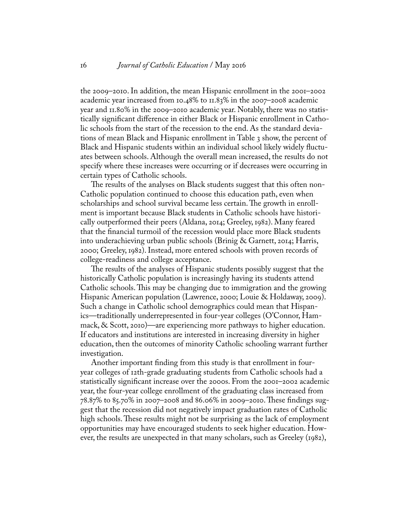the 2009–2010. In addition, the mean Hispanic enrollment in the 2001–2002 academic year increased from 10.48% to 11.83% in the 2007–2008 academic year and 11.80% in the 2009–2010 academic year. Notably, there was no statistically significant difference in either Black or Hispanic enrollment in Catholic schools from the start of the recession to the end. As the standard deviations of mean Black and Hispanic enrollment in Table 3 show, the percent of Black and Hispanic students within an individual school likely widely fluctuates between schools. Although the overall mean increased, the results do not specify where these increases were occurring or if decreases were occurring in certain types of Catholic schools.

The results of the analyses on Black students suggest that this often non-Catholic population continued to choose this education path, even when scholarships and school survival became less certain. The growth in enrollment is important because Black students in Catholic schools have historically outperformed their peers (Aldana, 2014; Greeley, 1982). Many feared that the financial turmoil of the recession would place more Black students into underachieving urban public schools (Brinig & Garnett, 2014; Harris, 2000; Greeley, 1982). Instead, more entered schools with proven records of college-readiness and college acceptance.

The results of the analyses of Hispanic students possibly suggest that the historically Catholic population is increasingly having its students attend Catholic schools. This may be changing due to immigration and the growing Hispanic American population (Lawrence, 2000; Louie & Holdaway, 2009). Such a change in Catholic school demographics could mean that Hispanics—traditionally underrepresented in four-year colleges (O'Connor, Hammack, & Scott, 2010)—are experiencing more pathways to higher education. If educators and institutions are interested in increasing diversity in higher education, then the outcomes of minority Catholic schooling warrant further investigation.

Another important finding from this study is that enrollment in fouryear colleges of 12th-grade graduating students from Catholic schools had a statistically significant increase over the 2000s. From the 2001–2002 academic year, the four-year college enrollment of the graduating class increased from 78.87% to 85.70% in 2007–2008 and 86.06% in 2009–2010. These findings suggest that the recession did not negatively impact graduation rates of Catholic high schools. These results might not be surprising as the lack of employment opportunities may have encouraged students to seek higher education. However, the results are unexpected in that many scholars, such as Greeley (1982),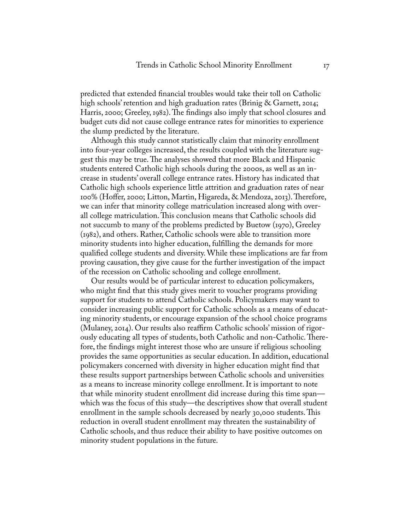predicted that extended financial troubles would take their toll on Catholic high schools' retention and high graduation rates (Brinig & Garnett, 2014; Harris, 2000; Greeley, 1982). The findings also imply that school closures and budget cuts did not cause college entrance rates for minorities to experience the slump predicted by the literature.

Although this study cannot statistically claim that minority enrollment into four-year colleges increased, the results coupled with the literature suggest this may be true. The analyses showed that more Black and Hispanic students entered Catholic high schools during the 2000s, as well as an increase in students' overall college entrance rates. History has indicated that Catholic high schools experience little attrition and graduation rates of near 100% (Hoffer, 2000; Litton, Martin, Higareda, & Mendoza, 2013). Therefore, we can infer that minority college matriculation increased along with overall college matriculation. This conclusion means that Catholic schools did not succumb to many of the problems predicted by Buetow (1970), Greeley (1982), and others. Rather, Catholic schools were able to transition more minority students into higher education, fulfilling the demands for more qualified college students and diversity. While these implications are far from proving causation, they give cause for the further investigation of the impact of the recession on Catholic schooling and college enrollment.

Our results would be of particular interest to education policymakers, who might find that this study gives merit to voucher programs providing support for students to attend Catholic schools. Policymakers may want to consider increasing public support for Catholic schools as a means of educating minority students, or encourage expansion of the school choice programs (Mulaney, 2014). Our results also reaffirm Catholic schools' mission of rigorously educating all types of students, both Catholic and non-Catholic. Therefore, the findings might interest those who are unsure if religious schooling provides the same opportunities as secular education. In addition, educational policymakers concerned with diversity in higher education might find that these results support partnerships between Catholic schools and universities as a means to increase minority college enrollment. It is important to note that while minority student enrollment did increase during this time span which was the focus of this study—the descriptives show that overall student enrollment in the sample schools decreased by nearly 30,000 students. This reduction in overall student enrollment may threaten the sustainability of Catholic schools, and thus reduce their ability to have positive outcomes on minority student populations in the future.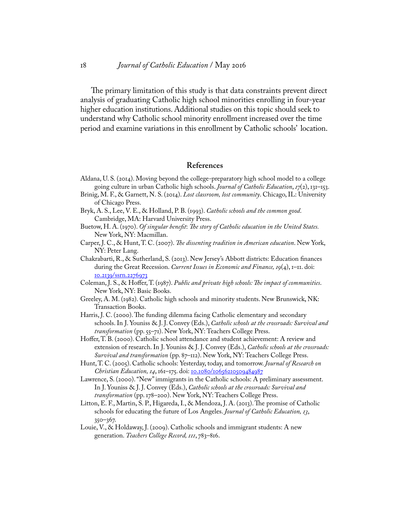The primary limitation of this study is that data constraints prevent direct analysis of graduating Catholic high school minorities enrolling in four-year higher education institutions. Additional studies on this topic should seek to understand why Catholic school minority enrollment increased over the time period and examine variations in this enrollment by Catholic schools' location.

#### **References**

- Aldana, U. S. (2014). Moving beyond the college-preparatory high school model to a college going culture in urban Catholic high schools. *Journal of Catholic Education*, *17*(2), 131–153.
- Brinig, M. F., & Garnett, N. S. (2014). *Lost classroom, lost community*. Chicago, IL: University of Chicago Press.
- Bryk, A. S., Lee, V. E., & Holland, P. B. (1993). *Catholic schools and the common good*. Cambridge, MA: Harvard University Press.
- Buetow, H. A. (1970). *Of singular benefit*: *The story of Catholic education in the United States.* New York, NY: Macmillan.
- Carper, J. C., & Hunt, T. C. (2007). *The dissenting tradition in American education*. New York, NY: Peter Lang.
- Chakrabarti, R., & Sutherland, S. (2013). New Jersey's Abbott districts: Education finances during the Great Recession. *Current Issues in Economic and Finance, 19*(4), 1–11. doi: [10.2139/ssrn.2276973]( http://dx.doi.org/10.2139/ssrn.2276973 )
- Coleman, J. S., & Hoffer, T. (1987). *Public and private high schools: The impact of communities*. New York, NY: Basic Books.
- Greeley, A. M. (1982). Catholic high schools and minority students. New Brunswick, NK: Transaction Books.
- Harris, J. C. (2000). The funding dilemma facing Catholic elementary and secondary schools. In J. Youniss & J. J. Convey (Eds.), *Catholic schools at the crossroads: Survival and transformation* (pp. 55–71). New York, NY: Teachers College Press.
- Hoffer, T. B. (2000). Catholic school attendance and student achievement: A review and extension of research. In J. Youniss & J. J. Convey (Eds.), *Catholic schools at the crossroads: Survival and transformation* (pp. 87–112). New York, NY: Teachers College Press.
- Hunt, T. C. (2005). Catholic schools: Yesterday, today, and tomorrow. *Journal of Research on*  Christian Education, 14, 161-175. doi: [10.1080/10656210509484987](http://dx.doi.org/10.1080/10656210509484987 )
- Lawrence, S. (2000). "New" immigrants in the Catholic schools: A preliminary assessment. In J. Youniss & J. J. Convey (Eds.), *Catholic schools at the crossroads: Survival and transformation* (pp. 178–200). New York, NY: Teachers College Press.
- Litton, E. F., Martin, S. P., Higareda, I., & Mendoza, J. A. (2013). The promise of Catholic schools for educating the future of Los Angeles. *Journal of Catholic Education, 13*, 350–367.
- Louie, V., & Holdaway, J. (2009). Catholic schools and immigrant students: A new generation. *Teachers College Record, 111*, 783–816.